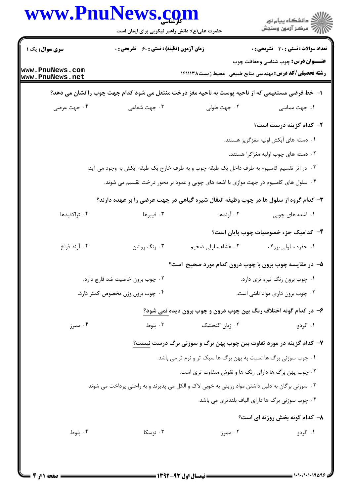|                                    | حضرت علی(ع): دانش راهبر نیکویی برای ایمان است |                                                                                                 | ڪ دانشڪاه پيام نور<br>/> مرڪز آزمون وسنڊش        |
|------------------------------------|-----------------------------------------------|-------------------------------------------------------------------------------------------------|--------------------------------------------------|
| سری سوال: یک ۱                     | زمان آزمون (دقیقه) : تستی : 60 گشریحی : 0     |                                                                                                 | تعداد سوالات : تستي : 30 ٪ تشريحي : 0            |
| www.PnuNews.com<br>www.PnuNews.net |                                               | <b>رشته تحصیلی/کد درس:</b> مهندسی منابع طبیعی -محیط زیست۱۴۱۱۱۳۸                                 | <b>عنـــوان درس :</b> چوب شناسی وحفاظت چوب       |
|                                    |                                               | ا– خط فرضی مستقیمی که از ناحیه پوست به ناحیه مغز درخت منتقل می شود کدام جهت چوب را نشان می دهد؟ |                                                  |
| ۰۴ جهت عرضي                        | ۰۳ جهت شعاعی                                  | ۰۲ جهت طولی                                                                                     | ۰۱ جهت مماسی                                     |
|                                    |                                               |                                                                                                 | ۲- کدام گزینه درست است؟                          |
|                                    |                                               |                                                                                                 | ۰۱ دسته های آبکش اولیه مغزگریز هستند.            |
|                                    |                                               |                                                                                                 | ۰۲ دسته های چوب اولیه مغزگرا هستند.              |
|                                    |                                               | ۰۳ در اثر تقسیم کامبیوم به طرف داخل یک طبقه چوب و به طرف خارج یک طبقه آبکش به وجود می آید.      |                                                  |
|                                    |                                               | ۰۴ سلول های کامبیوم در جهت موازی با اشعه های چوبی و عمود بر محور درخت تقسیم می شوند.            |                                                  |
|                                    |                                               | ۳- کدام گروه از سلول ها در چوب وظیفه انتقال شیره گیاهی در جهت عرضی را بر عهده دارند؟            |                                                  |
| ۰۴ تراکئیدها                       | ۰۳ فیبرها                                     | ۰۲ آوندها                                                                                       | ۰۱ اشعه های چوبی                                 |
|                                    |                                               |                                                                                                 | ۴– کدامیک جزء خصوصیات چوب پایان است؟             |
| ۰۴ آوند فراخ                       | ۰۳ رنگ روشن                                   | ۰۲ غشاء سلولی ضخیم                                                                              | ۰۱ حفره سلولی بزرگ                               |
|                                    |                                               | ۵– در مقایسه چوب برون با چوب درون کدام مورد صحیح است؟                                           |                                                  |
|                                    | ۰۲ چوب برون خاصیت ضد قارچ دارد.               |                                                                                                 | ۰۱ چوب برون رنگ تیره تری دارد.                   |
|                                    | ۰۴ چوب برون وزن مخصوص کمتر دارد.              |                                                                                                 | ۰۳ چوب برون داری مواد تاننی است.                 |
|                                    |                                               | ۶– در کدام گونه اختلاف رنگ بین چوب درون و چوب برون دیده نمی شود؟                                |                                                  |
| ۰۴ ممرز                            | ۰۳ بلوط                                       | ۰۲ زبان گنجشک                                                                                   | ۰۱ گردو                                          |
|                                    |                                               | <b>۷</b> - کدام گزینه در مورد تفاوت بین چوب پهن برگ و سوزنی برگ درست نیست <u>؟</u>              |                                                  |
|                                    |                                               | ۱. چوب سوزنی برگ ها نسبت به پهن برگ ها سبک تر و نرم تر می باشد.                                 |                                                  |
|                                    |                                               | ۰۲ چوب پهن برگ ها دارای رنگ ها و نقوش متفاوت تری است.                                           |                                                  |
|                                    |                                               | ۰۳ سوزنی برگان به دلیل داشتن مواد رزینی به خوبی لاک و الکل می پذیرند و به راحتی پرداخت می شوند. |                                                  |
|                                    |                                               |                                                                                                 | ۰۴ چوب سوزنی برگ ها دارای الیاف بلندتری می باشد. |
|                                    |                                               |                                                                                                 | ۸- کدام گونه بخش روزنه ای است؟                   |
| ۰۴ بلوط                            | ۰۳ توسکا                                      | ۰۲ ممرز                                                                                         | ۰۱ گردو                                          |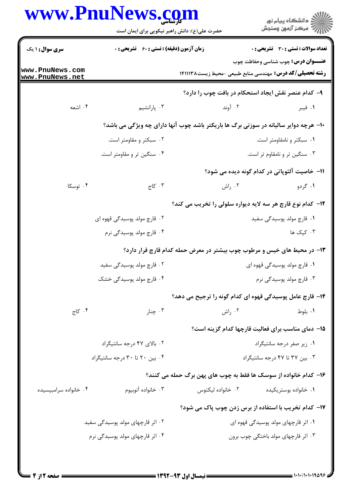| <b>سری سوال : ۱ یک</b>             |                                                                                      |                   | ِ<br>∭ دانشڪاه پيام نور<br>∭ مرڪز آزمون وسنڊش                                                                |  |
|------------------------------------|--------------------------------------------------------------------------------------|-------------------|--------------------------------------------------------------------------------------------------------------|--|
|                                    | <b>زمان آزمون (دقیقه) : تستی : 60 ٪ تشریحی : 0</b>                                   |                   | <b>تعداد سوالات : تستی : 30 ٪ تشریحی : 0</b>                                                                 |  |
| www.PnuNews.com<br>www.PnuNews.net |                                                                                      |                   | <b>عنـــوان درس:</b> چوب شناسی وحفاظت چوب<br><b>رشته تحصیلی/کد درس:</b> مهندسی منابع طبیعی -محیط زیست۱۴۱۱۱۳۸ |  |
|                                    |                                                                                      |                   | ۹- کدام عنصر نقش ایجاد استحکام در بافت چوب را دارد؟                                                          |  |
| ۰۴ اشعه                            | ۰۳ پارانشیم                                                                          | ۰۲ آوند           | ۰۱ فیبر                                                                                                      |  |
|                                    | ∙ا− هرچه دوایر سالیانه در سوزنی برگ ها باریکتر باشد چوب آنها دارای چه ویژگی می باشد؟ |                   |                                                                                                              |  |
|                                    | ۰۲ سبکتر و مقاومتر است.                                                              |                   | ۰۱ سبکتر و نامقاومتر است.                                                                                    |  |
|                                    | ۰۴ سنگین تر و مقاومتر است.                                                           |                   | ۰۳ سنگین تر و نامقاوم تر است.                                                                                |  |
|                                    |                                                                                      |                   | ۱۱– خاصیت آلئوپاتی در کدام گونه دیده می شود؟                                                                 |  |
| ۰۴ توسکا                           | ۰۳ کاج                                                                               | ۰۲ راش            | ۰۱ گردو                                                                                                      |  |
|                                    |                                                                                      |                   | ۱۲- کدام نوع قارچ هر سه لایه دیواره سلولی را تخریب می کند؟                                                   |  |
|                                    | ۲. قارچ مولد پوسیدگی قهوه ای                                                         |                   | ۰۱ قارچ مولد پوسیدگی سفید                                                                                    |  |
|                                    | ۰۴ قارچ مولد پوسیدگی نرم                                                             |                   | ۰۳ کپک ها                                                                                                    |  |
|                                    |                                                                                      |                   | ۱۳- در محیط های خیس و مرطوب چوب بیشتر در معرض حمله کدام قارچ قرار دارد؟                                      |  |
|                                    | ۰۲ قارچ مولد پوسیدگی سفید                                                            |                   | ۰۱ قارچ مولد پوسیدگی قهوه ای                                                                                 |  |
|                                    | ۰۴ قارچ مولد پوسیدگی خشک                                                             |                   | ۰۳ قارچ مولد پوسیدگی نرم                                                                                     |  |
|                                    |                                                                                      |                   | ۱۴– قارچ عامل پوسیدگی قهوه ای کدام گونه را ترجیح می دهد؟                                                     |  |
| ۰۴ کاج                             | ۰۳ چنار                                                                              | ۰۲ راش            | ٠١. بلوط                                                                                                     |  |
|                                    |                                                                                      |                   | 15- دمای مناسب برای فعالیت قارچها کدام گزینه است؟                                                            |  |
|                                    | ۰۲ بالای ۴۷ درجه سانتیگراد                                                           |                   | ۰۱ زیر صفر درجه سانتیگراد                                                                                    |  |
|                                    | ۰۴ بین ۲۰ تا ۳۰ درجه سانتیگراد                                                       |                   | ۰۳ بین ۳۷ تا ۴۷ درجه سانتیگراد                                                                               |  |
|                                    |                                                                                      |                   | ۱۶– کدام خانواده از سوسک ها فقط به چوب های پهن برگ حمله می کنند؟                                             |  |
| ۰۴ خانواده سرامبيسيده              | ۰۳ خانواده آنوبيوم                                                                   | ۰۲ خانواده ليکتوس | ۰۱ خانواده بوستريكيده                                                                                        |  |
|                                    |                                                                                      |                   | 17- کدام تخریب با استفاده از برس زدن چوب پاک می شود؟                                                         |  |
|                                    | ۰۲ اثر قارچهای مولد پوسیدگی سفید                                                     |                   | ۰۱ اثر قارچهای مولد پوسیدگی قهوه ای                                                                          |  |
|                                    | ۰۴ اثر قارچهای مولد پوسیدگی نرم                                                      |                   | ۰۳ اثر قارچهای مولد باختگی چوب برون                                                                          |  |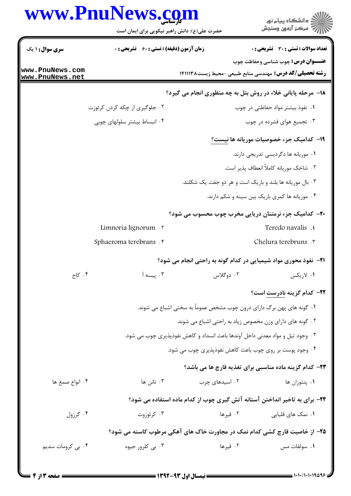## www.PnuNews.com ار<br>الله دانشگاه پیام نور<br>الله مرکز آزمون وسنجش حضرت علی(ع): دانش راهبر نیکویی برای ایمان است تعداد سوالات : تستى : 30 - تشريحي : 0 **سری سوال : ۱ یک زمان آزمون (دقیقه) : تستی : 60 ٪ تشریحی : 0 عنـــوان درس:** چوب شناسی وحفاظت چوب www.PnuNews.com **رشته تحصیلی/کد درس:** مهندسی منابع طبیعی -محیط زیست۱۴۱۱۱۳۸ www.PnuNews.net **۱۸- مرحله پایانی خلاء در روش بتل به چه منظوری انجام می گیرد؟** ۰۱ نفوذ بیشتر مواد حفاظتی در چوب ۰۲ جلوگیری از چکه کردن کرئوزت ۰۴ انبساط بیشتر سلولهای چوبی ۰۳ تجمیع هوای فشرده در چوب **۱۹- کدامیک جزء خصوصیات موریانه ها نیست؟** ٠١ موريانه ها دگرديسي تدريجي دارند. ٢. شاخک موريانه کاملاً انعطاف يذير است. ۰۳ بال موریانه ها بلند و باریک است و هر دو جفت یک شکلند. ۰۴ موریانه ها کمری باریک بین سینه و شکم دارند. ۲۰– کدامیک جزء نرمتنان دریایی مخرب چوب محسوب می شود؟ Limnoria lignorum . Teredo navalis . Chelura terebruns .r Sphaeroma terebrans f **۲۱**- نفوذ محوری مواد شیمیایی در کدام گونه به راحتی انجام می شود؟ ۰۴ کاج ۰۳ پیسه آ ۲. دوگلاس ١. لاريكس **۲۲**– کدام گزینه نادرست است؟ ۱. گونه های پهن برگ دارای درون چوب مشخص عموماً به سختی اشباع می شوند. ۰۲ گونه های دارای وزن مخصوص زیاد به راحتی اشباع می شوند. ۰۳ وجود تیل و مواد معدنی داخل آوندها باعث انسداد و کاهش نفوذپذیری چوب می شود. ۰۴ وجود پوست بر روی چوب باعث کاهش نفوذپذیری چوب می شود. **۲۳**– کدام گزینه ماده مناسبی برای تغذیه قارچ ها می باشد؟ ۰۴ انواع صمغ ها ۰۳ تانن ها ۰۲ اسیدهای چرب ۰۱ پنتوزان ها ۲۴- برای به تاخیر انداختن آستانه آتش گیری چوب از کدام ماده استفاده می شود؟ ۰۴ کرزول ۰۳ کرئوزوت ۲. قبرها ۰۱ نمک های قلیایی ۲۵- از خاصیت قارچ کشی کدام نمک در مجاورت خاک های آهکی مرطوب کاسته می شود؟ ۴. بی کرومات سدیم ۰۳ بی کلرور جیوه ۰۲ قبرها ٠١ سولفات مس